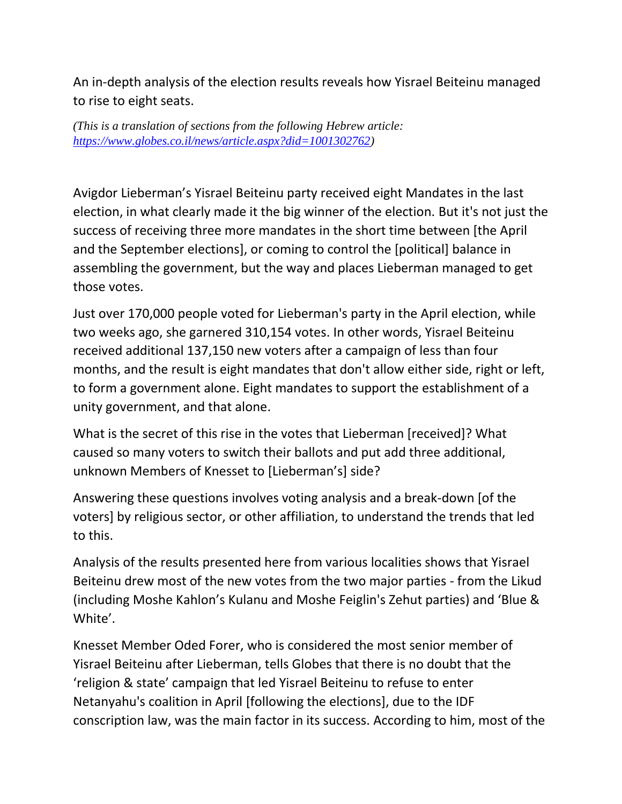An in-depth analysis of the election results reveals how Yisrael Beiteinu managed to rise to eight seats.

*(This is a translation of sections from the following Hebrew article: [https://www.globes.co.il/news/article.aspx?did=1001302762\)](https://www.globes.co.il/news/article.aspx?did=1001302762)*

Avigdor Lieberman's Yisrael Beiteinu party received eight Mandates in the last election, in what clearly made it the big winner of the election. But it's not just the success of receiving three more mandates in the short time between [the April and the September elections], or coming to control the [political] balance in assembling the government, but the way and places Lieberman managed to get those votes.

Just over 170,000 people voted for Lieberman's party in the April election, while two weeks ago, she garnered 310,154 votes. In other words, Yisrael Beiteinu received additional 137,150 new voters after a campaign of less than four months, and the result is eight mandates that don't allow either side, right or left, to form a government alone. Eight mandates to support the establishment of a unity government, and that alone.

What is the secret of this rise in the votes that Lieberman [received]? What caused so many voters to switch their ballots and put add three additional, unknown Members of Knesset to [Lieberman's] side?

Answering these questions involves voting analysis and a break-down [of the voters] by religious sector, or other affiliation, to understand the trends that led to this.

Analysis of the results presented here from various localities shows that Yisrael Beiteinu drew most of the new votes from the two major parties - from the Likud (including Moshe Kahlon's Kulanu and Moshe Feiglin's Zehut parties) and 'Blue & White'.

Knesset Member Oded Forer, who is considered the most senior member of Yisrael Beiteinu after Lieberman, tells Globes that there is no doubt that the 'religion & state' campaign that led Yisrael Beiteinu to refuse to enter Netanyahu's coalition in April [following the elections], due to the IDF conscription law, was the main factor in its success. According to him, most of the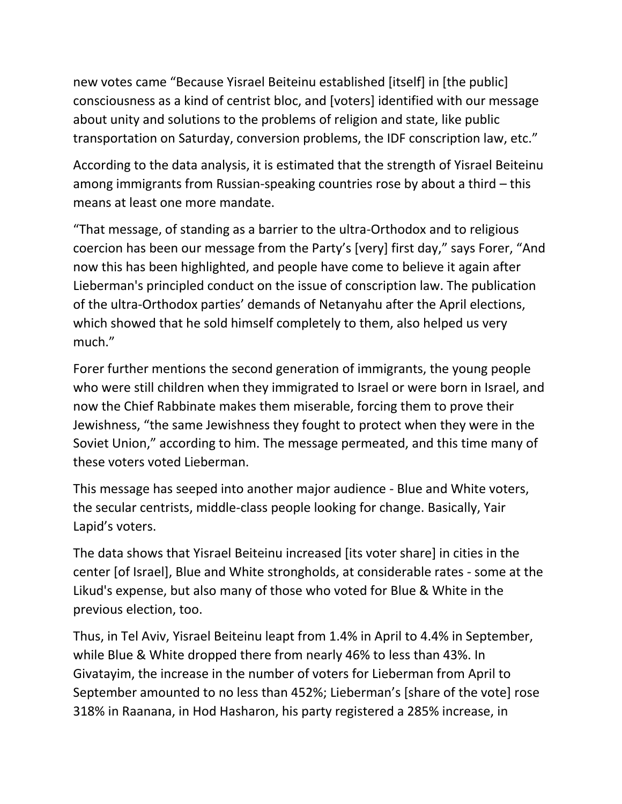new votes came "Because Yisrael Beiteinu established [itself] in [the public] consciousness as a kind of centrist bloc, and [voters] identified with our message about unity and solutions to the problems of religion and state, like public transportation on Saturday, conversion problems, the IDF conscription law, etc."

According to the data analysis, it is estimated that the strength of Yisrael Beiteinu among immigrants from Russian-speaking countries rose by about a third – this means at least one more mandate.

"That message, of standing as a barrier to the ultra-Orthodox and to religious coercion has been our message from the Party's [very] first day," says Forer, "And now this has been highlighted, and people have come to believe it again after Lieberman's principled conduct on the issue of conscription law. The publication of the ultra-Orthodox parties' demands of Netanyahu after the April elections, which showed that he sold himself completely to them, also helped us very much."

Forer further mentions the second generation of immigrants, the young people who were still children when they immigrated to Israel or were born in Israel, and now the Chief Rabbinate makes them miserable, forcing them to prove their Jewishness, "the same Jewishness they fought to protect when they were in the Soviet Union," according to him. The message permeated, and this time many of these voters voted Lieberman.

This message has seeped into another major audience - Blue and White voters, the secular centrists, middle-class people looking for change. Basically, Yair Lapid's voters.

The data shows that Yisrael Beiteinu increased [its voter share] in cities in the center [of Israel], Blue and White strongholds, at considerable rates - some at the Likud's expense, but also many of those who voted for Blue & White in the previous election, too.

Thus, in Tel Aviv, Yisrael Beiteinu leapt from 1.4% in April to 4.4% in September, while Blue & White dropped there from nearly 46% to less than 43%. In Givatayim, the increase in the number of voters for Lieberman from April to September amounted to no less than 452%; Lieberman's [share of the vote] rose 318% in Raanana, in Hod Hasharon, his party registered a 285% increase, in